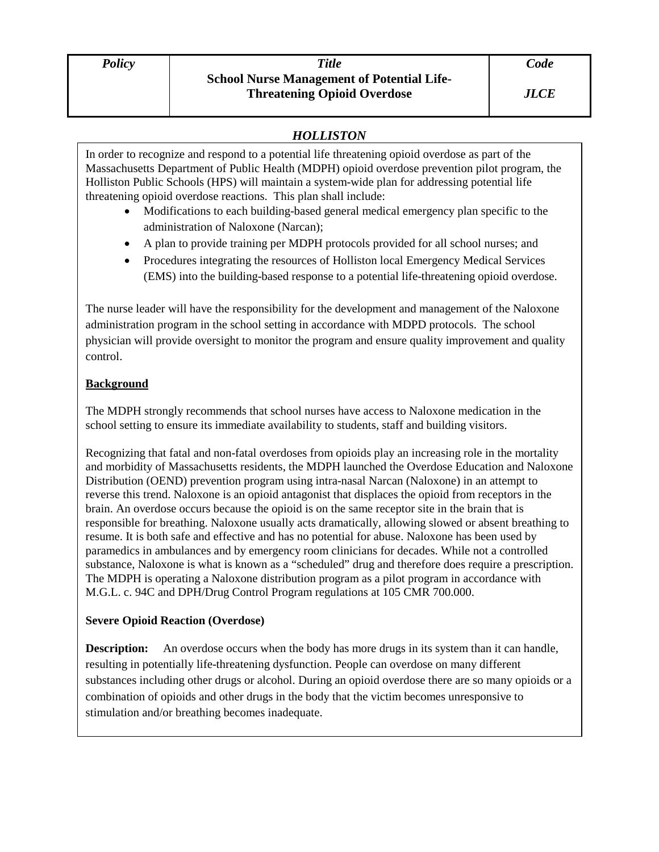# *HOLLISTON*

In order to recognize and respond to a potential life threatening opioid overdose as part of the Massachusetts Department of Public Health (MDPH) opioid overdose prevention pilot program, the Holliston Public Schools (HPS) will maintain a system-wide plan for addressing potential life threatening opioid overdose reactions. This plan shall include:

- Modifications to each building-based general medical emergency plan specific to the administration of Naloxone (Narcan);
- A plan to provide training per MDPH protocols provided for all school nurses; and
- Procedures integrating the resources of Holliston local Emergency Medical Services (EMS) into the building-based response to a potential life-threatening opioid overdose.

The nurse leader will have the responsibility for the development and management of the Naloxone administration program in the school setting in accordance with MDPD protocols. The school physician will provide oversight to monitor the program and ensure quality improvement and quality control.

# **Background**

The MDPH strongly recommends that school nurses have access to Naloxone medication in the school setting to ensure its immediate availability to students, staff and building visitors.

Recognizing that fatal and non-fatal overdoses from opioids play an increasing role in the mortality and morbidity of Massachusetts residents, the MDPH launched the Overdose Education and Naloxone Distribution (OEND) prevention program using intra-nasal Narcan (Naloxone) in an attempt to reverse this trend. Naloxone is an opioid antagonist that displaces the opioid from receptors in the brain. An overdose occurs because the opioid is on the same receptor site in the brain that is responsible for breathing. Naloxone usually acts dramatically, allowing slowed or absent breathing to resume. It is both safe and effective and has no potential for abuse. Naloxone has been used by paramedics in ambulances and by emergency room clinicians for decades. While not a controlled substance, Naloxone is what is known as a "scheduled" drug and therefore does require a prescription. The MDPH is operating a Naloxone distribution program as a pilot program in accordance with M.G.L. c. 94C and DPH/Drug Control Program regulations at 105 CMR 700.000.

# **Severe Opioid Reaction (Overdose)**

**Description:** An overdose occurs when the body has more drugs in its system than it can handle, resulting in potentially life-threatening dysfunction. People can overdose on many different substances including other drugs or alcohol. During an opioid overdose there are so many opioids or a combination of opioids and other drugs in the body that the victim becomes unresponsive to stimulation and/or breathing becomes inadequate.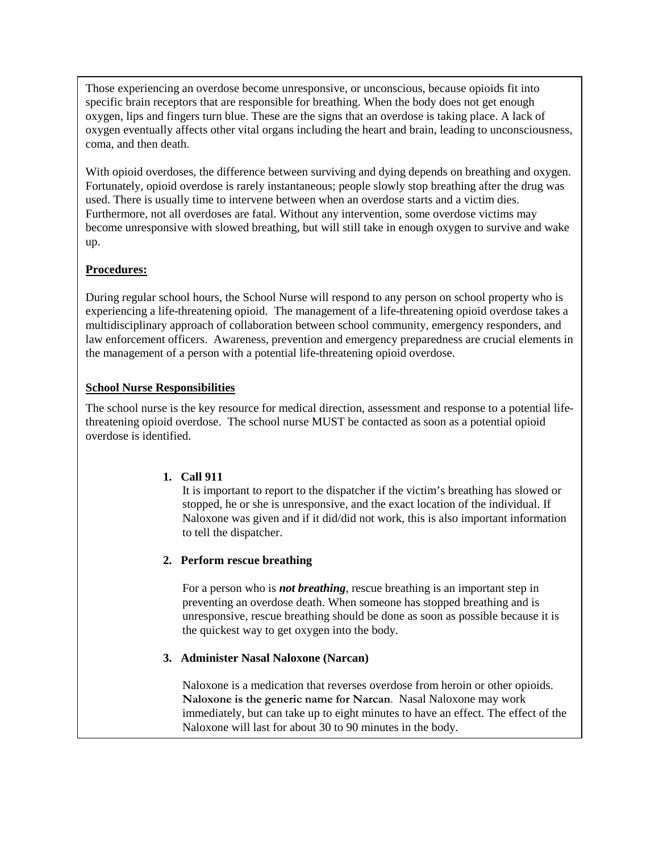Those experiencing an overdose become unresponsive, or unconscious, because opioids fit into specific brain receptors that are responsible for breathing. When the body does not get enough oxygen, lips and fingers turn blue. These are the signs that an overdose is taking place. A lack of oxygen eventually affects other vital organs including the heart and brain, leading to unconsciousness, coma, and then death.

With opioid overdoses, the difference between surviving and dying depends on breathing and oxygen. Fortunately, opioid overdose is rarely instantaneous; people slowly stop breathing after the drug was used. There is usually time to intervene between when an overdose starts and a victim dies. Furthermore, not all overdoses are fatal. Without any intervention, some overdose victims may become unresponsive with slowed breathing, but will still take in enough oxygen to survive and wake up.

## **Procedures:**

During regular school hours, the School Nurse will respond to any person on school property who is experiencing a life-threatening opioid. The management of a life-threatening opioid overdose takes a multidisciplinary approach of collaboration between school community, emergency responders, and law enforcement officers. Awareness, prevention and emergency preparedness are crucial elements in the management of a person with a potential life-threatening opioid overdose.

# **School Nurse Responsibilities**

The school nurse is the key resource for medical direction, assessment and response to a potential lifethreatening opioid overdose. The school nurse MUST be contacted as soon as a potential opioid overdose is identified.

## **1. Call 911**

It is important to report to the dispatcher if the victim's breathing has slowed or stopped, he or she is unresponsive, and the exact location of the individual. If Naloxone was given and if it did/did not work, this is also important information to tell the dispatcher.

## **2. Perform rescue breathing**

For a person who is *not breathing*, rescue breathing is an important step in preventing an overdose death. When someone has stopped breathing and is unresponsive, rescue breathing should be done as soon as possible because it is the quickest way to get oxygen into the body.

## **3. Administer Nasal Naloxone (Narcan)**

Naloxone is a medication that reverses overdose from heroin or other opioids. **Naloxone is the generic name for Narcan**. Nasal Naloxone may work immediately, but can take up to eight minutes to have an effect. The effect of the Naloxone will last for about 30 to 90 minutes in the body.